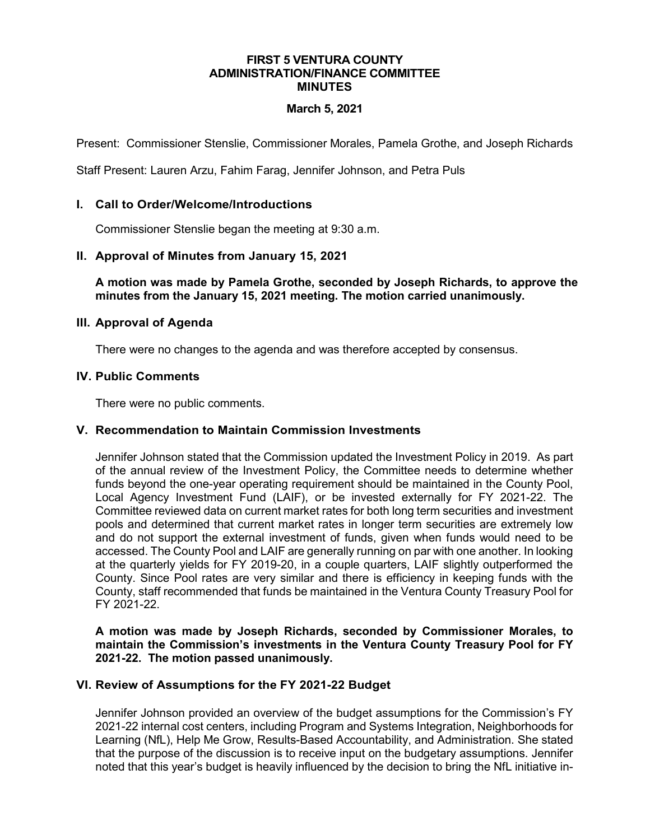#### **FIRST 5 VENTURA COUNTY ADMINISTRATION/FINANCE COMMITTEE MINUTES**

# **March 5, 2021**

Present: Commissioner Stenslie, Commissioner Morales, Pamela Grothe, and Joseph Richards

Staff Present: Lauren Arzu, Fahim Farag, Jennifer Johnson, and Petra Puls

# **I. Call to Order/Welcome/Introductions**

Commissioner Stenslie began the meeting at 9:30 a.m.

# **II. Approval of Minutes from January 15, 2021**

**A motion was made by Pamela Grothe, seconded by Joseph Richards, to approve the minutes from the January 15, 2021 meeting. The motion carried unanimously.**

### **III. Approval of Agenda**

There were no changes to the agenda and was therefore accepted by consensus.

### **IV. Public Comments**

There were no public comments.

### **V. Recommendation to Maintain Commission Investments**

Jennifer Johnson stated that the Commission updated the Investment Policy in 2019. As part of the annual review of the Investment Policy, the Committee needs to determine whether funds beyond the one-year operating requirement should be maintained in the County Pool, Local Agency Investment Fund (LAIF), or be invested externally for FY 2021-22. The Committee reviewed data on current market rates for both long term securities and investment pools and determined that current market rates in longer term securities are extremely low and do not support the external investment of funds, given when funds would need to be accessed. The County Pool and LAIF are generally running on par with one another. In looking at the quarterly yields for FY 2019-20, in a couple quarters, LAIF slightly outperformed the County. Since Pool rates are very similar and there is efficiency in keeping funds with the County, staff recommended that funds be maintained in the Ventura County Treasury Pool for FY 2021-22.

# **A motion was made by Joseph Richards, seconded by Commissioner Morales, to maintain the Commission's investments in the Ventura County Treasury Pool for FY 2021-22. The motion passed unanimously.**

# **VI. Review of Assumptions for the FY 2021-22 Budget**

Jennifer Johnson provided an overview of the budget assumptions for the Commission's FY 2021-22 internal cost centers, including Program and Systems Integration, Neighborhoods for Learning (NfL), Help Me Grow, Results-Based Accountability, and Administration. She stated that the purpose of the discussion is to receive input on the budgetary assumptions. Jennifer noted that this year's budget is heavily influenced by the decision to bring the NfL initiative in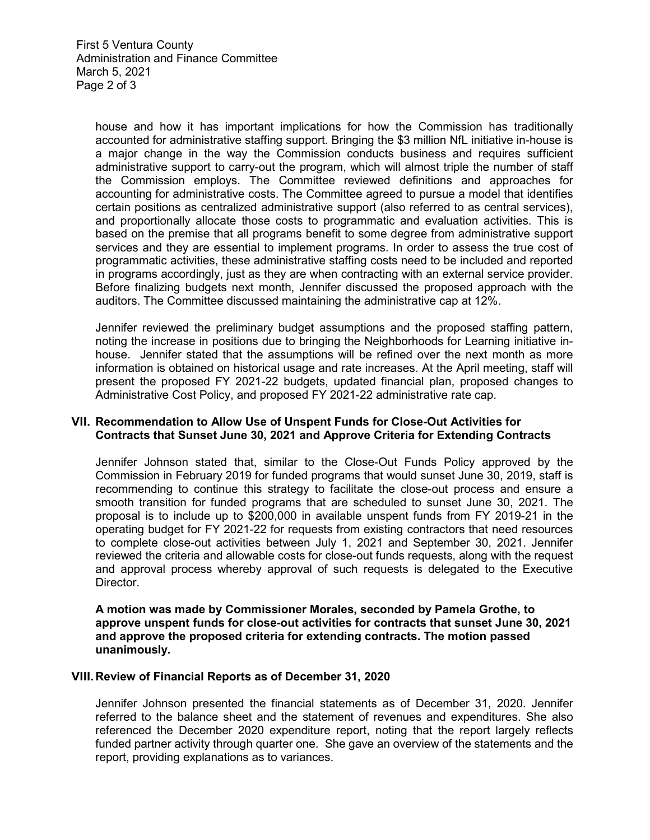house and how it has important implications for how the Commission has traditionally accounted for administrative staffing support. Bringing the \$3 million NfL initiative in-house is a major change in the way the Commission conducts business and requires sufficient administrative support to carry-out the program, which will almost triple the number of staff the Commission employs. The Committee reviewed definitions and approaches for accounting for administrative costs. The Committee agreed to pursue a model that identifies certain positions as centralized administrative support (also referred to as central services), and proportionally allocate those costs to programmatic and evaluation activities. This is based on the premise that all programs benefit to some degree from administrative support services and they are essential to implement programs. In order to assess the true cost of programmatic activities, these administrative staffing costs need to be included and reported in programs accordingly, just as they are when contracting with an external service provider. Before finalizing budgets next month, Jennifer discussed the proposed approach with the auditors. The Committee discussed maintaining the administrative cap at 12%.

Jennifer reviewed the preliminary budget assumptions and the proposed staffing pattern, noting the increase in positions due to bringing the Neighborhoods for Learning initiative inhouse. Jennifer stated that the assumptions will be refined over the next month as more information is obtained on historical usage and rate increases. At the April meeting, staff will present the proposed FY 2021-22 budgets, updated financial plan, proposed changes to Administrative Cost Policy, and proposed FY 2021-22 administrative rate cap.

## **VII. Recommendation to Allow Use of Unspent Funds for Close-Out Activities for Contracts that Sunset June 30, 2021 and Approve Criteria for Extending Contracts**

Jennifer Johnson stated that, similar to the Close-Out Funds Policy approved by the Commission in February 2019 for funded programs that would sunset June 30, 2019, staff is recommending to continue this strategy to facilitate the close-out process and ensure a smooth transition for funded programs that are scheduled to sunset June 30, 2021. The proposal is to include up to \$200,000 in available unspent funds from FY 2019-21 in the operating budget for FY 2021-22 for requests from existing contractors that need resources to complete close-out activities between July 1, 2021 and September 30, 2021. Jennifer reviewed the criteria and allowable costs for close-out funds requests, along with the request and approval process whereby approval of such requests is delegated to the Executive Director.

**A motion was made by Commissioner Morales, seconded by Pamela Grothe, to approve unspent funds for close-out activities for contracts that sunset June 30, 2021 and approve the proposed criteria for extending contracts. The motion passed unanimously.** 

### **VIII.Review of Financial Reports as of December 31, 2020**

Jennifer Johnson presented the financial statements as of December 31, 2020. Jennifer referred to the balance sheet and the statement of revenues and expenditures. She also referenced the December 2020 expenditure report, noting that the report largely reflects funded partner activity through quarter one. She gave an overview of the statements and the report, providing explanations as to variances.